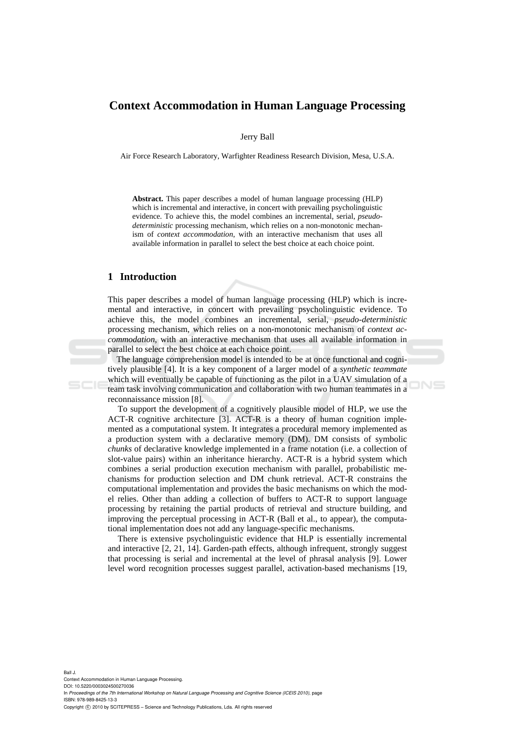# **Context Accommodation in Human Language Processing**

Jerry Ball

Air Force Research Laboratory, Warfighter Readiness Research Division, Mesa, U.S.A.

**Abstract.** This paper describes a model of human language processing (HLP) which is incremental and interactive, in concert with prevailing psycholinguistic evidence. To achieve this, the model combines an incremental, serial, *pseudodeterministic* processing mechanism, which relies on a non-monotonic mechanism of *context accommodation*, with an interactive mechanism that uses all available information in parallel to select the best choice at each choice point.

### **1 Introduction**

This paper describes a model of human language processing (HLP) which is incremental and interactive, in concert with prevailing psycholinguistic evidence. To achieve this, the model combines an incremental, serial, *pseudo-deterministic* processing mechanism, which relies on a non-monotonic mechanism of *context accommodation*, with an interactive mechanism that uses all available information in parallel to select the best choice at each choice point.

The language comprehension model is intended to be at once functional and cognitively plausible [4]. It is a key component of a larger model of a *synthetic teammate* which will eventually be capable of functioning as the pilot in a UAV simulation of a team task involving communication and collaboration with two human teammates in a reconnaissance mission [8].

To support the development of a cognitively plausible model of HLP, we use the ACT-R cognitive architecture [3]. ACT-R is a theory of human cognition implemented as a computational system. It integrates a procedural memory implemented as a production system with a declarative memory (DM). DM consists of symbolic *chunks* of declarative knowledge implemented in a frame notation (i.e. a collection of slot-value pairs) within an inheritance hierarchy. ACT-R is a hybrid system which combines a serial production execution mechanism with parallel, probabilistic mechanisms for production selection and DM chunk retrieval. ACT-R constrains the computational implementation and provides the basic mechanisms on which the model relies. Other than adding a collection of buffers to ACT-R to support language processing by retaining the partial products of retrieval and structure building, and improving the perceptual processing in ACT-R (Ball et al., to appear), the computational implementation does not add any language-specific mechanisms.

There is extensive psycholinguistic evidence that HLP is essentially incremental and interactive [2, 21, 14]. Garden-path effects, although infrequent, strongly suggest that processing is serial and incremental at the level of phrasal analysis [9]. Lower level word recognition processes suggest parallel, activation-based mechanisms [19,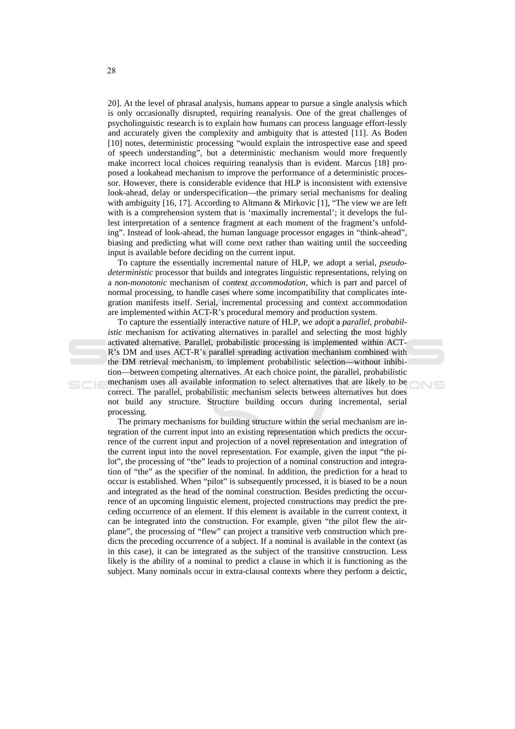20]. At the level of phrasal analysis, humans appear to pursue a single analysis which is only occasionally disrupted, requiring reanalysis. One of the great challenges of psycholinguistic research is to explain how humans can process language effort-lessly and accurately given the complexity and ambiguity that is attested [11]. As Boden [10] notes, deterministic processing "would explain the introspective ease and speed of speech understanding", but a deterministic mechanism would more frequently make incorrect local choices requiring reanalysis than is evident. Marcus [18] proposed a lookahead mechanism to improve the performance of a deterministic processor. However, there is considerable evidence that HLP is inconsistent with extensive look-ahead, delay or underspecification—the primary serial mechanisms for dealing with ambiguity [16, 17]. According to Altmann & Mirkovic [1], "The view we are left with is a comprehension system that is 'maximally incremental'; it develops the fullest interpretation of a sentence fragment at each moment of the fragment's unfolding". Instead of look-ahead, the human language processor engages in "think-ahead", biasing and predicting what will come next rather than waiting until the succeeding input is available before deciding on the current input.

To capture the essentially incremental nature of HLP, we adopt a serial, *pseudodeterministic* processor that builds and integrates linguistic representations, relying on a non-monotonic mechanism of *context accommodation*, which is part and parcel of normal processing, to handle cases where some incompatibility that complicates integration manifests itself. Serial, incremental processing and context accommodation are implemented within ACT-R's procedural memory and production system.

To capture the essentially interactive nature of HLP, we adopt a *parallel*, *probabilistic* mechanism for activating alternatives in parallel and selecting the most highly activated alternative. Parallel, probabilistic processing is implemented within ACT-R's DM and uses ACT-R's parallel spreading activation mechanism combined with the DM retrieval mechanism, to implement probabilistic selection—without inhibition—between competing alternatives. At each choice point, the parallel, probabilistic mechanism uses all available information to select alternatives that are likely to be correct. The parallel, probabilistic mechanism selects between alternatives but does not build any structure. Structure building occurs during incremental, serial processing.

The primary mechanisms for building structure within the serial mechanism are integration of the current input into an existing representation which predicts the occurrence of the current input and projection of a novel representation and integration of the current input into the novel representation. For example, given the input "the pilot", the processing of "the" leads to projection of a nominal construction and integration of "the" as the specifier of the nominal. In addition, the prediction for a head to occur is established. When "pilot" is subsequently processed, it is biased to be a noun and integrated as the head of the nominal construction. Besides predicting the occurrence of an upcoming linguistic element, projected constructions may predict the preceding occurrence of an element. If this element is available in the current context, it can be integrated into the construction. For example, given "the pilot flew the airplane", the processing of "flew" can project a transitive verb construction which predicts the preceding occurrence of a subject. If a nominal is available in the context (as in this case), it can be integrated as the subject of the transitive construction. Less likely is the ability of a nominal to predict a clause in which it is functioning as the subject. Many nominals occur in extra-clausal contexts where they perform a deictic,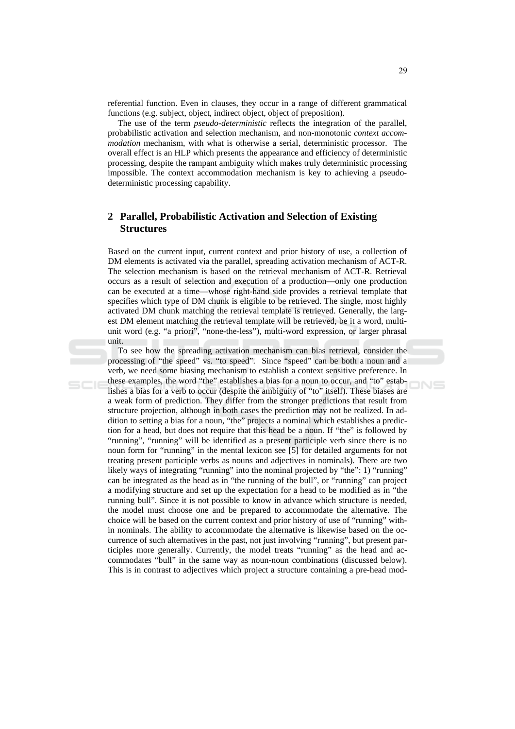referential function. Even in clauses, they occur in a range of different grammatical functions (e.g. subject, object, indirect object, object of preposition).

The use of the term *pseudo-deterministic* reflects the integration of the parallel, probabilistic activation and selection mechanism, and non-monotonic *context accommodation* mechanism, with what is otherwise a serial, deterministic processor. The overall effect is an HLP which presents the appearance and efficiency of deterministic processing, despite the rampant ambiguity which makes truly deterministic processing impossible. The context accommodation mechanism is key to achieving a pseudodeterministic processing capability.

## 2 Parallel, Probabilistic Activation and Selection of Existing **Structures**

Based on the current input, current context and prior history of use, a collection of DM elements is activated via the parallel, spreading activation mechanism of ACT-R. The selection mechanism is based on the retrieval mechanism of ACT-R. Retrieval occurs as a result of selection and execution of a production—only one production can be executed at a time—whose right-hand side provides a retrieval template that specifies which type of DM chunk is eligible to be retrieved. The single, most highly activated DM chunk matching the retrieval template is retrieved. Generally, the largest DM element matching the retrieval template will be retrieved, be it a word, multiunit word (e.g. "a priori", "none-the-less"), multi-word expression, or larger phrasal unit.

To see how the spreading activation mechanism can bias retrieval, consider the processing of "the speed" vs. "to speed". Since "speed" can be both a noun and a verb, we need some biasing mechanism to establish a context sensitive preference. In these examples, the word "the" establishes a bias for a noun to occur, and "to" establishes a bias for a verb to occur (despite the ambiguity of "to" itself). These biases are a weak form of prediction. They differ from the stronger predictions that result from structure projection, although in both cases the prediction may not be realized. In addition to setting a bias for a noun, "the" projects a nominal which establishes a prediction for a head, but does not require that this head be a noun. If "the" is followed by "running", "running" will be identified as a present participle verb since there is no noun form for "running" in the mental lexicon see [5] for detailed arguments for not treating present participle verbs as nouns and adjectives in nominals). There are two likely ways of integrating "running" into the nominal projected by "the": 1) "running" can be integrated as the head as in "the running of the bull", or "running" can project a modifying structure and set up the expectation for a head to be modified as in "the running bull". Since it is not possible to know in advance which structure is needed, the model must choose one and be prepared to accommodate the alternative. The choice will be based on the current context and prior history of use of "running" within nominals. The ability to accommodate the alternative is likewise based on the occurrence of such alternatives in the past, not just involving "running", but present participles more generally. Currently, the model treats "running" as the head and accommodates "bull" in the same way as noun-noun combinations (discussed below). This is in contrast to adjectives which project a structure containing a pre-head mod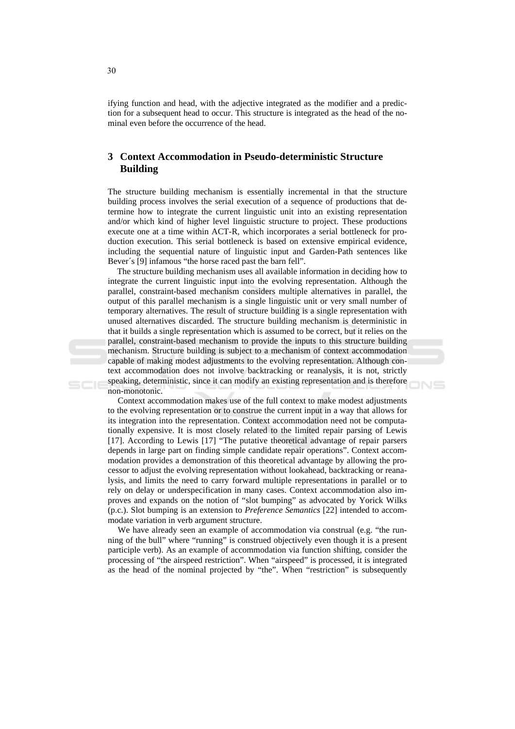if ying function and head, with the adjective integrated as the modifier and a prediction for a subsequent head to occur. This structure is integrated as the head of the nominal even before the occurrence of the head.

## 3 Context Accommodation in Pseudo-deterministic Structure **Building**

The structure building mechanism is essentially incremental in that the structure building process involves the serial execution of a sequence of productions that determine how to integrate the current linguistic unit into an existing representation and/or which kind of higher level linguistic structure to project. These productions execute one at a time within ACT-R, which incorporates a serial bottleneck for production execution. This serial bottleneck is based on extensive empirical evidence, including the sequential nature of linguistic input and Garden-Path sentences like Bever's [9] infamous "the horse raced past the barn fell".

The structure building mechanism uses all available information in deciding how to integrate the current linguistic input into the evolving representation. Although the parallel, constraint-based mechanism considers multiple alternatives in parallel, the output of this parallel mechanism is a single linguistic unit or very small number of temporary alternatives. The result of structure building is a single representation with unused alternatives discarded. The structure building mechanism is deterministic in that it builds a single representation which is assumed to be correct, but it relies on the parallel, constraint-based mechanism to provide the inputs to this structure building mechanism. Structure building is subject to a mechanism of context accommodation capable of making modest adjustments to the evolving representation. Although context accommodation does not involve backtracking or reanalysis, it is not, strictly speaking, deterministic, since it can modify an existing representation and is therefore non-monotonic.

Context accommodation makes use of the full context to make modest adjustments to the evolving representation or to construe the current input in a way that allows for its integration into the representation. Context accommodation need not be computationally expensive. It is most closely related to the limited repair parsing of Lewis [17]. According to Lewis [17] "The putative theoretical advantage of repair parsers depends in large part on finding simple candidate repair operations". Context accommodation provides a demonstration of this theoretical advantage by allowing the processor to adjust the evolving representation without lookahead, backtracking or reanalysis, and limits the need to carry forward multiple representations in parallel or to rely on delay or underspecification in many cases. Context accommodation also improves and expands on the notion of "slot bumping" as advocated by Yorick Wilks  $(p.c.)$ . Slot bumping is an extension to *Preference Semantics* [22] intended to accommodate variation in verb argument structure.

We have already seen an example of accommodation via construal (e.g. "the running of the bull" where "running" is construed objectively even though it is a present participle verb). As an example of accommodation via function shifting, consider the processing of "the airspeed restriction". When "airspeed" is processed, it is integrated as the head of the nominal projected by "the". When "restriction" is subsequently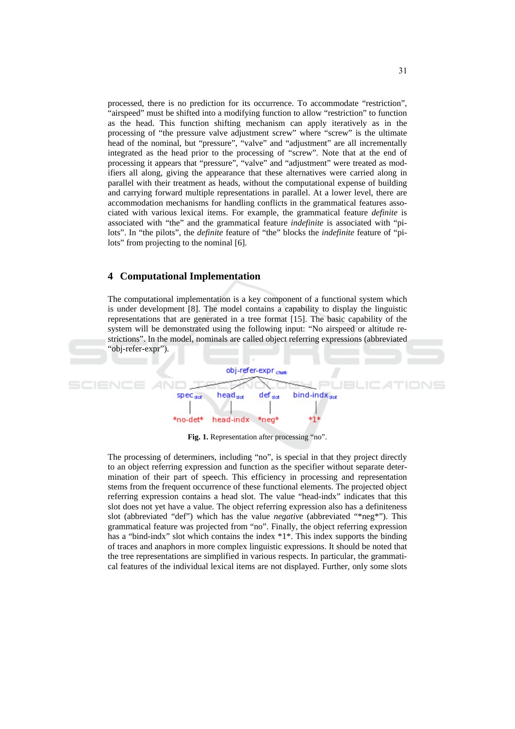processed, there is no prediction for its occurrence. To accommodate "restriction", "airspeed" must be shifted into a modifying function to allow "restriction" to function as the head. This function shifting mechanism can apply iteratively as in the processing of "the pressure valve adjustment screw" where "screw" is the ultimate head of the nominal, but "pressure", "valve" and "adjustment" are all incrementally integrated as the head prior to the processing of "screw". Note that at the end of processing it appears that "pressure", "valve" and "adjustment" were treated as modifiers all along, giving the appearance that these alternatives were carried along in parallel with their treatment as heads, without the computational expense of building and carrying forward multiple representations in parallel. At a lower level, there are accommodation mechanisms for handling conflicts in the grammatical features associated with various lexical items. For example, the grammatical feature *definite* is associated with "the" and the grammatical feature *indefinite* is associated with "pilots". In "the pilots", the *definite* feature of "the" blocks the *indefinite* feature of "pilots" from projecting to the nominal [6].

#### **4** Computational Implementation

The computational implementation is a key component of a functional system which is under development [8]. The model contains a capability to display the linguistic representations that are generated in a tree format [15]. The basic capability of the system will be demonstrated using the following input: "No airspeed or altitude restrictions". In the model, nominals are called object referring expressions (abbreviated 'obj-refer-expr'').



Fig. 1. Representation after processing "no".

The processing of determiners, including "no", is special in that they project directly to an object referring expression and function as the specifier without separate determination of their part of speech. This efficiency in processing and representation stems from the frequent occurrence of these functional elements. The projected object referring expression contains a head slot. The value "head-indx" indicates that this slot does not yet have a value. The object referring expression also has a definiteness slot (abbreviated "def") which has the value *negative* (abbreviated "\*neg\*"). This grammatical feature was projected from "no". Finally, the object referring expression has a "bind-indx" slot which contains the index  $*1*$ . This index supports the binding of traces and anaphors in more complex linguistic expressions. It should be noted that the tree representations are simplified in various respects. In particular, the grammatical features of the individual lexical items are not displayed. Further, only some slots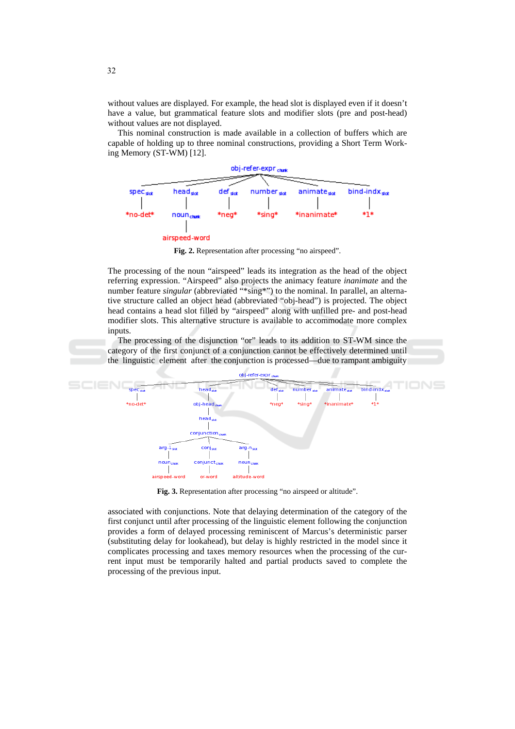without values are displayed. For example, the head slot is displayed even if it doesn't have a value, but grammatical feature slots and modifier slots (pre and post-head) without values are not displayed.

This nominal construction is made available in a collection of buffers which are capable of holding up to three nominal constructions, providing a Short Term Working Memory (ST-WM) [12].



Fig. 2. Representation after processing "no airspeed".

The processing of the noun "airspeed" leads its integration as the head of the object referring expression. "Airspeed" also projects the animacy feature *inanimate* and the number feature *singular* (abbreviated "\*sing\*") to the nominal. In parallel, an alternative structure called an object head (abbreviated "obj-head") is projected. The object head contains a head slot filled by "airspeed" along with unfilled pre- and post-head modifier slots. This alternative structure is available to accommodate more complex inputs.

The processing of the disjunction "or" leads to its addition to ST-WM since the category of the first conjunct of a conjunction cannot be effectively determined until the linguistic element after the conjunction is processed—due to rampant ambiguity



Fig. 3. Representation after processing "no airspeed or altitude".

associated with conjunctions. Note that delaying determination of the category of the first conjunct until after processing of the linguistic element following the conjunction provides a form of delayed processing reminiscent of Marcus's deterministic parser (substituting delay for lookahead), but delay is highly restricted in the model since it complicates processing and taxes memory resources when the processing of the current input must be temporarily halted and partial products saved to complete the processing of the previous input.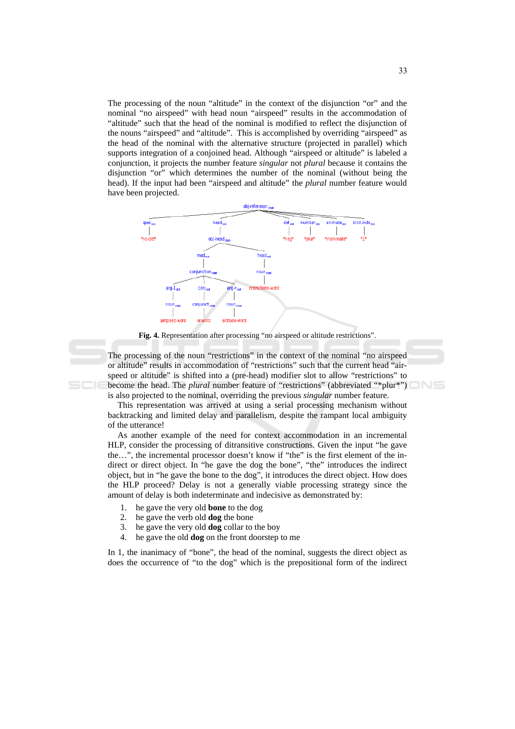The processing of the noun "altitude" in the context of the disjunction "or" and the nominal "no airspeed" with head noun "airspeed" results in the accommodation of "altitude" such that the head of the nominal is modified to reflect the disjunction of the nouns "airspeed" and "altitude". This is accomplished by overriding "airspeed" as the head of the nominal with the alternative structure (projected in parallel) which supports integration of a conjoined head. Although "airspeed or altitude" is labeled a conjunction, it projects the number feature *singular* not *plural* because it contains the disjunction "or" which determines the number of the nominal (without being the head). If the input had been "airspeed and altitude" the *plural* number feature would have been projected.



Fig. 4. Representation after processing "no airspeed or altitude restrictions".

The processing of the noun "restrictions" in the context of the nominal "no airspeed or altitude" results in accommodation of "restrictions" such that the current head "airspeed or altitude" is shifted into a (pre-head) modifier slot to allow "restrictions" to become the head. The *plural* number feature of "restrictions" (abbreviated "\*plur\*") is also projected to the nominal, overriding the previous *singular* number feature.

This representation was arrived at using a serial processing mechanism without backtracking and limited delay and parallelism, despite the rampant local ambiguity of the utterance!

As another example of the need for context accommodation in an incremental HLP, consider the processing of ditransitive constructions. Given the input "he gave the...", the incremental processor doesn't know if "the" is the first element of the indirect or direct object. In "he gave the dog the bone", "the" introduces the indirect object, but in "he gave the bone to the dog", it introduces the direct object. How does the HLP proceed? Delay is not a generally viable processing strategy since the amount of delay is both indeterminate and indecisive as demonstrated by:

- 1. he gave the very old **bone** to the dog
- 2. he gave the verb old **dog** the bone
- $3.$ he gave the very old **dog** collar to the boy
- $\overline{4}$ . he gave the old **dog** on the front doorstep to me

In 1, the inanimacy of "bone", the head of the nominal, suggests the direct object as does the occurrence of "to the dog" which is the prepositional form of the indirect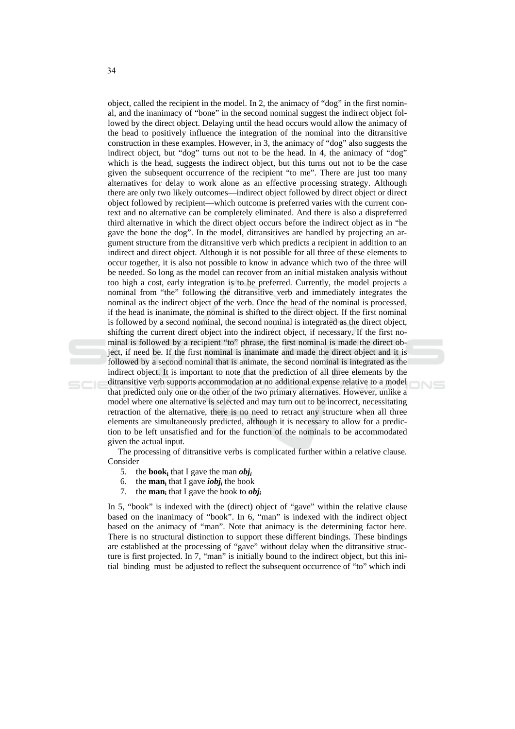object, called the recipient in the model. In 2, the animacy of "dog" in the first nominal, and the inanimacy of "bone" in the second nominal suggest the indirect object followed by the direct object. Delaying until the head occurs would allow the animacy of the head to positively influence the integration of the nominal into the ditransitive construction in these examples. However, in 3, the animacy of "dog" also suggests the indirect object, but "dog" turns out not to be the head. In 4, the animacy of "dog" which is the head, suggests the indirect object, but this turns out not to be the case given the subsequent occurrence of the recipient "to me". There are just too many alternatives for delay to work alone as an effective processing strategy. Although there are only two likely outcomes—indirect object followed by direct object or direct object followed by recipient—which outcome is preferred varies with the current context and no alternative can be completely eliminated. And there is also a dispreferred third alternative in which the direct object occurs before the indirect object as in "he gave the bone the dog". In the model, ditransitives are handled by projecting an argument structure from the ditransitive verb which predicts a recipient in addition to an indirect and direct object. Although it is not possible for all three of these elements to occur together, it is also not possible to know in advance which two of the three will be needed. So long as the model can recover from an initial mistaken analysis without too high a cost, early integration is to be preferred. Currently, the model projects a nominal from "the" following the ditransitive verb and immediately integrates the nominal as the indirect object of the verb. Once the head of the nominal is processed, if the head is inanimate, the nominal is shifted to the direct object. If the first nominal is followed by a second nominal, the second nominal is integrated as the direct object, shifting the current direct object into the indirect object, if necessary. If the first nominal is followed by a recipient "to" phrase, the first nominal is made the direct object, if need be. If the first nominal is inanimate and made the direct object and it is followed by a second nominal that is animate, the second nominal is integrated as the indirect object. It is important to note that the prediction of all three elements by the ditransitive verb supports accommodation at no additional expense relative to a model that predicted only one or the other of the two primary alternatives. However, unlike a model where one alternative is selected and may turn out to be incorrect, necessitating retraction of the alternative, there is no need to retract any structure when all three elements are simultaneously predicted, although it is necessary to allow for a prediction to be left unsatisfied and for the function of the nominals to be accommodated given the actual input.

The processing of ditransitive verbs is complicated further within a relative clause. Consider

- 5. the **book** that I gave the man *obi*.
- 6. the **man**<sub>i</sub> that I gave *iobj<sub>i</sub>* the book
- 7. the **man**<sub>i</sub> that I gave the book to  $obj_i$

In 5, "book" is indexed with the (direct) object of "gave" within the relative clause based on the inanimacy of "book". In 6, "man" is indexed with the indirect object based on the animacy of "man". Note that animacy is the determining factor here. There is no structural distinction to support these different bindings. These bindings are established at the processing of "gave" without delay when the ditransitive structure is first projected. In 7, "man" is initially bound to the indirect object, but this initial binding must be adjusted to reflect the subsequent occurrence of "to" which indi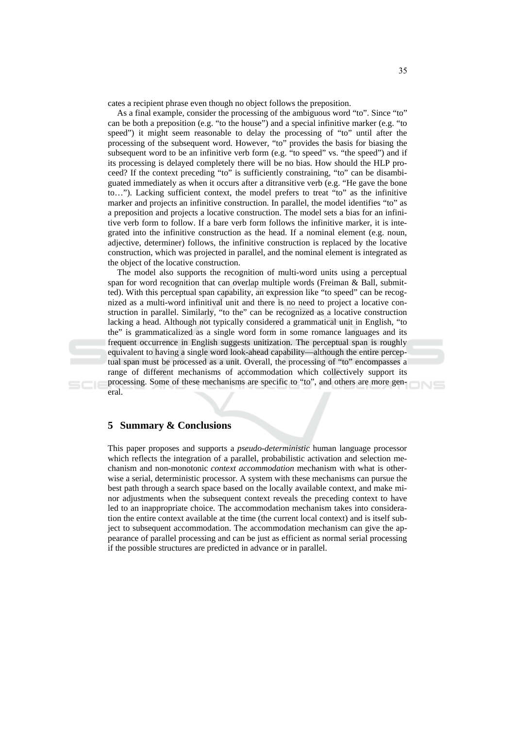cates a recipient phrase even though no object follows the preposition.

As a final example, consider the processing of the ambiguous word "to". Since "to" can be both a preposition (e.g. "to the house") and a special infinitive marker (e.g. "to speed") it might seem reasonable to delay the processing of "to" until after the processing of the subsequent word. However, "to" provides the basis for biasing the subsequent word to be an infinitive verb form (e.g. "to speed" vs. "the speed") and if its processing is delayed completely there will be no bias. How should the HLP proceed? If the context preceding "to" is sufficiently constraining, "to" can be disambiguated immediately as when it occurs after a ditransitive verb (e.g. "He gave the bone to..."). Lacking sufficient context, the model prefers to treat "to" as the infinitive marker and projects an infinitive construction. In parallel, the model identifies "to" as a preposition and projects a locative construction. The model sets a bias for an infinitive verb form to follow. If a bare verb form follows the infinitive marker, it is integrated into the infinitive construction as the head. If a nominal element (e.g. noun, adjective, determiner) follows, the infinitive construction is replaced by the locative construction, which was projected in parallel, and the nominal element is integrated as the object of the locative construction.

The model also supports the recognition of multi-word units using a perceptual span for word recognition that can overlap multiple words (Freiman & Ball, submitted). With this perceptual span capability, an expression like "to speed" can be recognized as a multi-word infinitival unit and there is no need to project a locative construction in parallel. Similarly, "to the" can be recognized as a locative construction lacking a head. Although not typically considered a grammatical unit in English, "to the" is grammaticalized as a single word form in some romance languages and its frequent occurrence in English suggests unitization. The perceptual span is roughly equivalent to having a single word look-ahead capability—although the entire perceptual span must be processed as a unit. Overall, the processing of "to" encompasses a range of different mechanisms of accommodation which collectively support its processing. Some of these mechanisms are specific to "to", and others are more gen $eral$ 

### **5 Summary & Conclusions**

This paper proposes and supports a *pseudo-deterministic* human language processor which reflects the integration of a parallel, probabilistic activation and selection mechanism and non-monotonic context accommodation mechanism with what is otherwise a serial, deterministic processor. A system with these mechanisms can pursue the best path through a search space based on the locally available context, and make minor adjustments when the subsequent context reveals the preceding context to have led to an inappropriate choice. The accommodation mechanism takes into consideration the entire context available at the time (the current local context) and is itself subject to subsequent accommodation. The accommodation mechanism can give the appearance of parallel processing and can be just as efficient as normal serial processing if the possible structures are predicted in advance or in parallel.